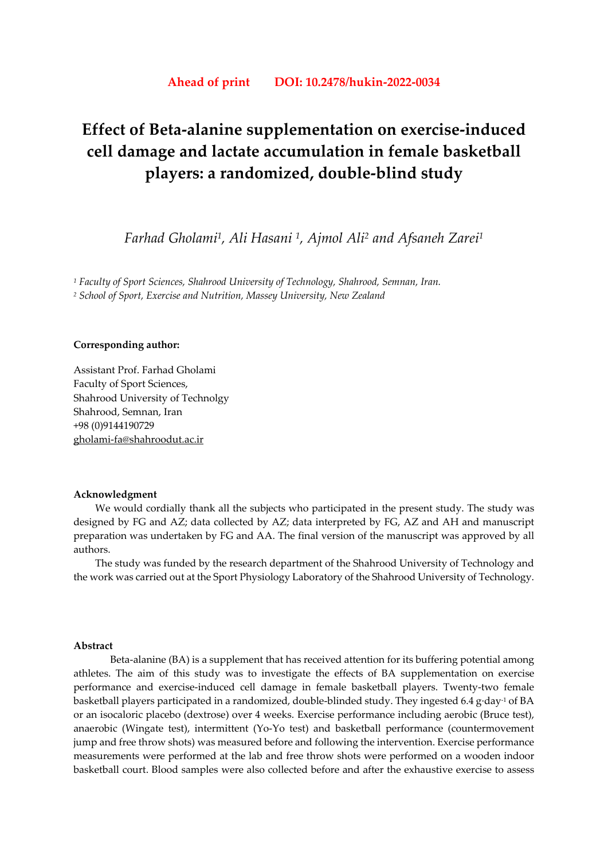# **Ahead of print DOI: 10.2478/hukin-2022-0034**

# **Effect of Beta-alanine supplementation on exercise-induced cell damage and lactate accumulation in female basketball players: a randomized, double-blind study**

*Farhad Gholami1, Ali Hasani 1, Ajmol Ali2 and Afsaneh Zarei1*

*1 Faculty of Sport Sciences, Shahrood University of Technology, Shahrood, Semnan, Iran. 2 School of Sport, Exercise and Nutrition, Massey University, New Zealand*

# **Corresponding author:**

Assistant Prof. Farhad Gholami Faculty of Sport Sciences, Shahrood University of Technolgy Shahrood, Semnan, Iran +98 (0)9144190729 gholami-fa@shahroodut.ac.ir

#### **Acknowledgment**

We would cordially thank all the subjects who participated in the present study. The study was designed by FG and AZ; data collected by AZ; data interpreted by FG, AZ and AH and manuscript preparation was undertaken by FG and AA. The final version of the manuscript was approved by all authors.

The study was funded by the research department of the Shahrood University of Technology and the work was carried out at the Sport Physiology Laboratory of the Shahrood University of Technology.

#### **Abstract**

Beta-alanine (BA) is a supplement that has received attention for its buffering potential among athletes. The aim of this study was to investigate the effects of BA supplementation on exercise performance and exercise-induced cell damage in female basketball players. Twenty-two female basketball players participated in a randomized, double-blinded study. They ingested 6.4 g·day-1 of BA or an isocaloric placebo (dextrose) over 4 weeks. Exercise performance including aerobic (Bruce test), anaerobic (Wingate test), intermittent (Yo-Yo test) and basketball performance (countermovement jump and free throw shots) was measured before and following the intervention. Exercise performance measurements were performed at the lab and free throw shots were performed on a wooden indoor basketball court. Blood samples were also collected before and after the exhaustive exercise to assess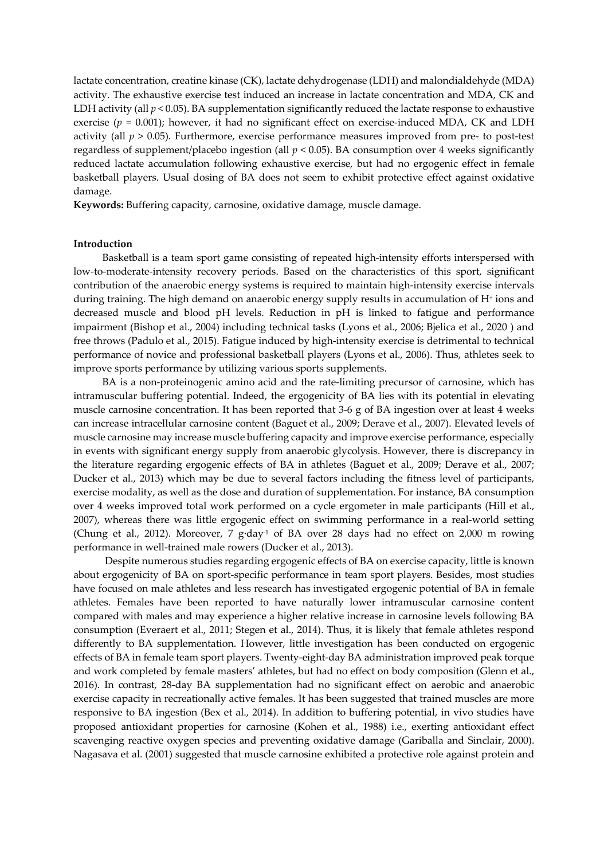lactate concentration, creatine kinase (CK), lactate dehydrogenase (LDH) and malondialdehyde (MDA) activity. The exhaustive exercise test induced an increase in lactate concentration and MDA, CK and LDH activity (all  $p < 0.05$ ). BA supplementation significantly reduced the lactate response to exhaustive exercise ( $p = 0.001$ ); however, it had no significant effect on exercise-induced MDA, CK and LDH activity (all *p* > 0.05). Furthermore, exercise performance measures improved from pre- to post-test regardless of supplement/placebo ingestion (all *p* < 0.05). BA consumption over 4 weeks significantly reduced lactate accumulation following exhaustive exercise, but had no ergogenic effect in female basketball players. Usual dosing of BA does not seem to exhibit protective effect against oxidative damage.

**Keywords:** Buffering capacity, carnosine, oxidative damage, muscle damage.

## **Introduction**

Basketball is a team sport game consisting of repeated high-intensity efforts interspersed with low-to-moderate-intensity recovery periods. Based on the characteristics of this sport, significant contribution of the anaerobic energy systems is required to maintain high-intensity exercise intervals during training. The high demand on anaerobic energy supply results in accumulation of H+ ions and decreased muscle and blood pH levels. Reduction in pH is linked to fatigue and performance impairment (Bishop et al., 2004) including technical tasks (Lyons et al., 2006; Bjelica et al., 2020 ) and free throws (Padulo et al., 2015). Fatigue induced by high-intensity exercise is detrimental to technical performance of novice and professional basketball players (Lyons et al., 2006). Thus, athletes seek to improve sports performance by utilizing various sports supplements.

BA is a non-proteinogenic amino acid and the rate-limiting precursor of carnosine, which has intramuscular buffering potential. Indeed, the ergogenicity of BA lies with its potential in elevating muscle carnosine concentration. It has been reported that 3-6 g of BA ingestion over at least 4 weeks can increase intracellular carnosine content (Baguet et al., 2009; Derave et al., 2007). Elevated levels of muscle carnosine may increase muscle buffering capacity and improve exercise performance, especially in events with significant energy supply from anaerobic glycolysis. However, there is discrepancy in the literature regarding ergogenic effects of BA in athletes (Baguet et al., 2009; Derave et al., 2007; Ducker et al., 2013) which may be due to several factors including the fitness level of participants, exercise modality, as well as the dose and duration of supplementation. For instance, BA consumption over 4 weeks improved total work performed on a cycle ergometer in male participants (Hill et al., 2007), whereas there was little ergogenic effect on swimming performance in a real-world setting (Chung et al., 2012). Moreover, 7 g·day-1 of BA over 28 days had no effect on 2,000 m rowing performance in well-trained male rowers (Ducker et al., 2013).

 Despite numerous studies regarding ergogenic effects of BA on exercise capacity, little is known about ergogenicity of BA on sport-specific performance in team sport players. Besides, most studies have focused on male athletes and less research has investigated ergogenic potential of BA in female athletes. Females have been reported to have naturally lower intramuscular carnosine content compared with males and may experience a higher relative increase in carnosine levels following BA consumption (Everaert et al., 2011; Stegen et al., 2014). Thus, it is likely that female athletes respond differently to BA supplementation. However, little investigation has been conducted on ergogenic effects of BA in female team sport players. Twenty-eight-day BA administration improved peak torque and work completed by female masters' athletes, but had no effect on body composition (Glenn et al., 2016). In contrast, 28-day BA supplementation had no significant effect on aerobic and anaerobic exercise capacity in recreationally active females. It has been suggested that trained muscles are more responsive to BA ingestion (Bex et al., 2014). In addition to buffering potential, in vivo studies have proposed antioxidant properties for carnosine (Kohen et al., 1988) i.e., exerting antioxidant effect scavenging reactive oxygen species and preventing oxidative damage (Gariballa and Sinclair, 2000). Nagasava et al. (2001) suggested that muscle carnosine exhibited a protective role against protein and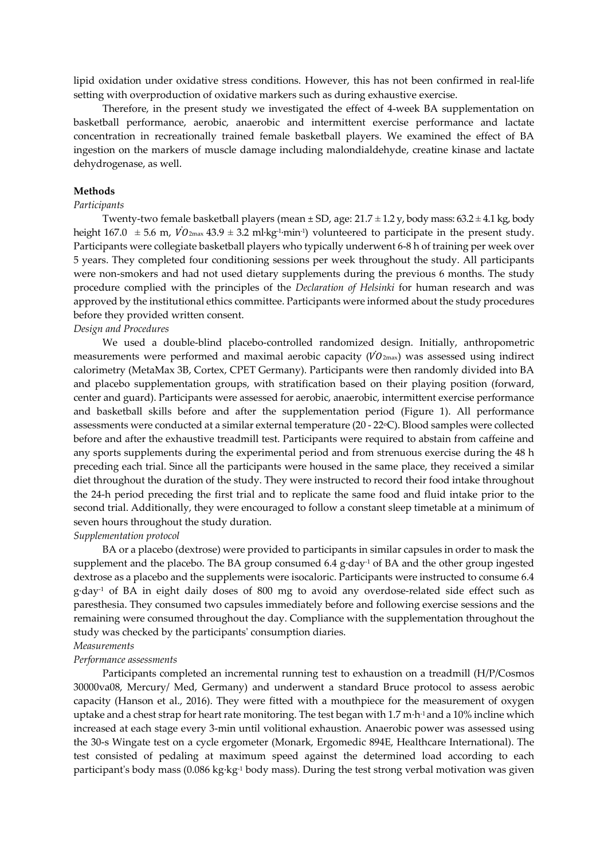lipid oxidation under oxidative stress conditions. However, this has not been confirmed in real-life setting with overproduction of oxidative markers such as during exhaustive exercise.

Therefore, in the present study we investigated the effect of 4-week BA supplementation on basketball performance, aerobic, anaerobic and intermittent exercise performance and lactate concentration in recreationally trained female basketball players. We examined the effect of BA ingestion on the markers of muscle damage including malondialdehyde, creatine kinase and lactate dehydrogenase, as well.

#### **Methods**

## *Participants*

Twenty-two female basketball players (mean  $\pm$  SD, age: 21.7  $\pm$  1.2 y, body mass: 63.2  $\pm$  4.1 kg, body height  $167.0 \pm 5.6$  m,  $\dot{VO}_{2\text{max}}$  43.9  $\pm$  3.2 ml·kg<sup>-1</sup>·min<sup>-1</sup>) volunteered to participate in the present study. Participants were collegiate basketball players who typically underwent 6-8 h of training per week over 5 years. They completed four conditioning sessions per week throughout the study. All participants were non-smokers and had not used dietary supplements during the previous 6 months. The study procedure complied with the principles of the *Declaration of Helsinki* for human research and was approved by the institutional ethics committee. Participants were informed about the study procedures before they provided written consent.

# *Design and Procedures*

We used a double-blind placebo-controlled randomized design. Initially, anthropometric measurements were performed and maximal aerobic capacity  $(VO_{2\text{max}})$  was assessed using indirect calorimetry (MetaMax 3B, Cortex, CPET Germany). Participants were then randomly divided into BA and placebo supplementation groups, with stratification based on their playing position (forward, center and guard). Participants were assessed for aerobic, anaerobic, intermittent exercise performance and basketball skills before and after the supplementation period (Figure 1). All performance assessments were conducted at a similar external temperature (20 - 22 °C). Blood samples were collected before and after the exhaustive treadmill test. Participants were required to abstain from caffeine and any sports supplements during the experimental period and from strenuous exercise during the 48 h preceding each trial. Since all the participants were housed in the same place, they received a similar diet throughout the duration of the study. They were instructed to record their food intake throughout the 24-h period preceding the first trial and to replicate the same food and fluid intake prior to the second trial. Additionally, they were encouraged to follow a constant sleep timetable at a minimum of seven hours throughout the study duration.

## *Supplementation protocol*

BA or a placebo (dextrose) were provided to participants in similar capsules in order to mask the supplement and the placebo. The BA group consumed 6.4 g·day<sup>-1</sup> of BA and the other group ingested dextrose as a placebo and the supplements were isocaloric. Participants were instructed to consume 6.4 g·day-1 of BA in eight daily doses of 800 mg to avoid any overdose-related side effect such as paresthesia. They consumed two capsules immediately before and following exercise sessions and the remaining were consumed throughout the day. Compliance with the supplementation throughout the study was checked by the participants' consumption diaries.

# *Measurements*

# *Performance assessments*

Participants completed an incremental running test to exhaustion on a treadmill (H/P/Cosmos 30000va08, Mercury/ Med, Germany) and underwent a standard Bruce protocol to assess aerobic capacity (Hanson et al., 2016). They were fitted with a mouthpiece for the measurement of oxygen uptake and a chest strap for heart rate monitoring. The test began with 1.7 m·h-1 and a 10% incline which increased at each stage every 3-min until volitional exhaustion. Anaerobic power was assessed using the 30-s Wingate test on a cycle ergometer (Monark, Ergomedic 894E, Healthcare International). The test consisted of pedaling at maximum speed against the determined load according to each participant's body mass (0.086 kg·kg-1 body mass). During the test strong verbal motivation was given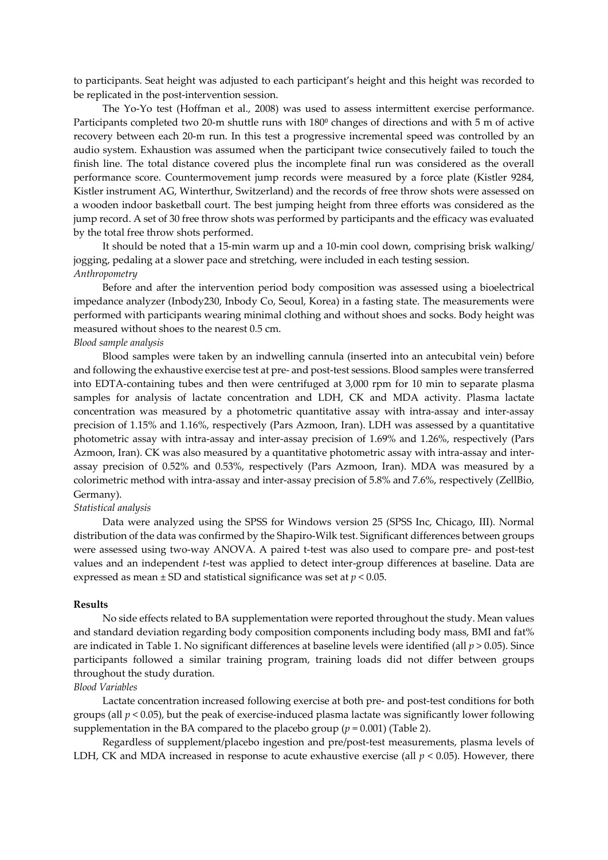to participants. Seat height was adjusted to each participant's height and this height was recorded to be replicated in the post-intervention session.

The Yo-Yo test (Hoffman et al., 2008) was used to assess intermittent exercise performance. Participants completed two 20-m shuttle runs with 180<sup>0</sup> changes of directions and with 5 m of active recovery between each 20-m run. In this test a progressive incremental speed was controlled by an audio system. Exhaustion was assumed when the participant twice consecutively failed to touch the finish line. The total distance covered plus the incomplete final run was considered as the overall performance score. Countermovement jump records were measured by a force plate (Kistler 9284, Kistler instrument AG, Winterthur, Switzerland) and the records of free throw shots were assessed on a wooden indoor basketball court. The best jumping height from three efforts was considered as the jump record. A set of 30 free throw shots was performed by participants and the efficacy was evaluated by the total free throw shots performed.

It should be noted that a 15-min warm up and a 10-min cool down, comprising brisk walking/ jogging, pedaling at a slower pace and stretching, were included in each testing session. *Anthropometry* 

Before and after the intervention period body composition was assessed using a bioelectrical impedance analyzer (Inbody230, Inbody Co, Seoul, Korea) in a fasting state. The measurements were performed with participants wearing minimal clothing and without shoes and socks. Body height was measured without shoes to the nearest 0.5 cm.

#### *Blood sample analysis*

Blood samples were taken by an indwelling cannula (inserted into an antecubital vein) before and following the exhaustive exercise test at pre- and post-test sessions. Blood samples were transferred into EDTA-containing tubes and then were centrifuged at 3,000 rpm for 10 min to separate plasma samples for analysis of lactate concentration and LDH, CK and MDA activity. Plasma lactate concentration was measured by a photometric quantitative assay with intra-assay and inter-assay precision of 1.15% and 1.16%, respectively (Pars Azmoon, Iran). LDH was assessed by a quantitative photometric assay with intra-assay and inter-assay precision of 1.69% and 1.26%, respectively (Pars Azmoon, Iran). CK was also measured by a quantitative photometric assay with intra-assay and interassay precision of 0.52% and 0.53%, respectively (Pars Azmoon, Iran). MDA was measured by a colorimetric method with intra-assay and inter-assay precision of 5.8% and 7.6%, respectively (ZellBio, Germany).

#### *Statistical analysis*

Data were analyzed using the SPSS for Windows version 25 (SPSS Inc, Chicago, III). Normal distribution of the data was confirmed by the Shapiro-Wilk test. Significant differences between groups were assessed using two-way ANOVA. A paired t-test was also used to compare pre- and post-test values and an independent *t*-test was applied to detect inter-group differences at baseline. Data are expressed as mean  $\pm$  SD and statistical significance was set at  $p < 0.05$ .

#### **Results**

No side effects related to BA supplementation were reported throughout the study. Mean values and standard deviation regarding body composition components including body mass, BMI and fat% are indicated in Table 1. No significant differences at baseline levels were identified (all *p* > 0.05). Since participants followed a similar training program, training loads did not differ between groups throughout the study duration.

# *Blood Variables*

Lactate concentration increased following exercise at both pre- and post-test conditions for both groups (all  $p < 0.05$ ), but the peak of exercise-induced plasma lactate was significantly lower following supplementation in the BA compared to the placebo group  $(p = 0.001)$  (Table 2).

Regardless of supplement/placebo ingestion and pre/post-test measurements, plasma levels of LDH, CK and MDA increased in response to acute exhaustive exercise (all  $p < 0.05$ ). However, there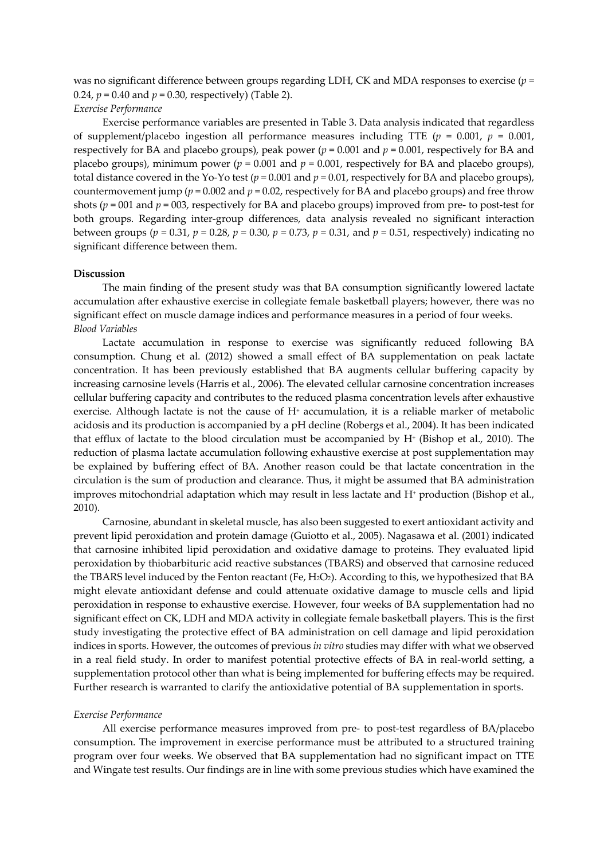was no significant difference between groups regarding LDH, CK and MDA responses to exercise (*p* = 0.24,  $p = 0.40$  and  $p = 0.30$ , respectively) (Table 2).

## *Exercise Performance*

Exercise performance variables are presented in Table 3. Data analysis indicated that regardless of supplement/placebo ingestion all performance measures including TTE  $(p = 0.001, p = 0.001, p = 0.001)$ respectively for BA and placebo groups), peak power  $(p = 0.001$  and  $p = 0.001$ , respectively for BA and placebo groups), minimum power ( $p = 0.001$  and  $p = 0.001$ , respectively for BA and placebo groups), total distance covered in the Yo-Yo test ( $p = 0.001$  and  $p = 0.01$ , respectively for BA and placebo groups), countermovement jump ( $p = 0.002$  and  $p = 0.02$ , respectively for BA and placebo groups) and free throw shots ( $p = 001$  and  $p = 003$ , respectively for BA and placebo groups) improved from pre- to post-test for both groups. Regarding inter-group differences, data analysis revealed no significant interaction between groups ( $p = 0.31$ ,  $p = 0.28$ ,  $p = 0.30$ ,  $p = 0.73$ ,  $p = 0.31$ , and  $p = 0.51$ , respectively) indicating no significant difference between them.

## **Discussion**

The main finding of the present study was that BA consumption significantly lowered lactate accumulation after exhaustive exercise in collegiate female basketball players; however, there was no significant effect on muscle damage indices and performance measures in a period of four weeks. *Blood Variables* 

Lactate accumulation in response to exercise was significantly reduced following BA consumption. Chung et al. (2012) showed a small effect of BA supplementation on peak lactate concentration. It has been previously established that BA augments cellular buffering capacity by increasing carnosine levels (Harris et al., 2006). The elevated cellular carnosine concentration increases cellular buffering capacity and contributes to the reduced plasma concentration levels after exhaustive exercise. Although lactate is not the cause of  $H<sup>+</sup>$  accumulation, it is a reliable marker of metabolic acidosis and its production is accompanied by a pH decline (Robergs et al., 2004). It has been indicated that efflux of lactate to the blood circulation must be accompanied by H<sup>+</sup> (Bishop et al., 2010). The reduction of plasma lactate accumulation following exhaustive exercise at post supplementation may be explained by buffering effect of BA. Another reason could be that lactate concentration in the circulation is the sum of production and clearance. Thus, it might be assumed that BA administration improves mitochondrial adaptation which may result in less lactate and H<sup>+</sup> production (Bishop et al., 2010).

Carnosine, abundant in skeletal muscle, has also been suggested to exert antioxidant activity and prevent lipid peroxidation and protein damage (Guiotto et al., 2005). Nagasawa et al. (2001) indicated that carnosine inhibited lipid peroxidation and oxidative damage to proteins. They evaluated lipid peroxidation by thiobarbituric acid reactive substances (TBARS) and observed that carnosine reduced the TBARS level induced by the Fenton reactant (Fe, H<sub>2</sub>O<sub>2</sub>). According to this, we hypothesized that BA might elevate antioxidant defense and could attenuate oxidative damage to muscle cells and lipid peroxidation in response to exhaustive exercise. However, four weeks of BA supplementation had no significant effect on CK, LDH and MDA activity in collegiate female basketball players. This is the first study investigating the protective effect of BA administration on cell damage and lipid peroxidation indices in sports. However, the outcomes of previous *in vitro* studies may differ with what we observed in a real field study. In order to manifest potential protective effects of BA in real-world setting, a supplementation protocol other than what is being implemented for buffering effects may be required. Further research is warranted to clarify the antioxidative potential of BA supplementation in sports.

#### *Exercise Performance*

All exercise performance measures improved from pre- to post-test regardless of BA/placebo consumption. The improvement in exercise performance must be attributed to a structured training program over four weeks. We observed that BA supplementation had no significant impact on TTE and Wingate test results. Our findings are in line with some previous studies which have examined the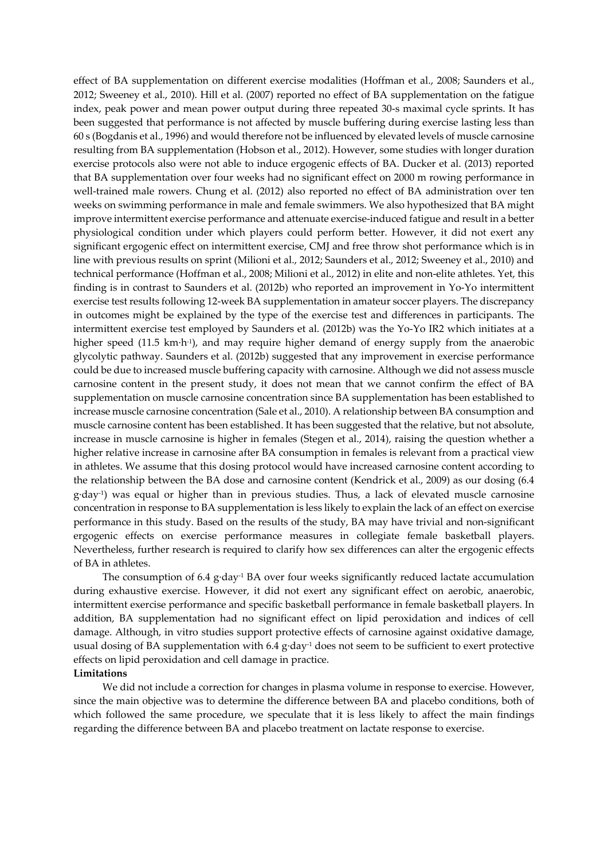effect of BA supplementation on different exercise modalities (Hoffman et al., 2008; Saunders et al., 2012; Sweeney et al., 2010). Hill et al. (2007) reported no effect of BA supplementation on the fatigue index, peak power and mean power output during three repeated 30-s maximal cycle sprints. It has been suggested that performance is not affected by muscle buffering during exercise lasting less than 60 s (Bogdanis et al., 1996) and would therefore not be influenced by elevated levels of muscle carnosine resulting from BA supplementation (Hobson et al., 2012). However, some studies with longer duration exercise protocols also were not able to induce ergogenic effects of BA. Ducker et al. (2013) reported that BA supplementation over four weeks had no significant effect on 2000 m rowing performance in well-trained male rowers. Chung et al. (2012) also reported no effect of BA administration over ten weeks on swimming performance in male and female swimmers. We also hypothesized that BA might improve intermittent exercise performance and attenuate exercise-induced fatigue and result in a better physiological condition under which players could perform better. However, it did not exert any significant ergogenic effect on intermittent exercise, CMJ and free throw shot performance which is in line with previous results on sprint (Milioni et al., 2012; Saunders et al., 2012; Sweeney et al., 2010) and technical performance (Hoffman et al., 2008; Milioni et al., 2012) in elite and non-elite athletes. Yet, this finding is in contrast to Saunders et al. (2012b) who reported an improvement in Yo-Yo intermittent exercise test results following 12-week BA supplementation in amateur soccer players. The discrepancy in outcomes might be explained by the type of the exercise test and differences in participants. The intermittent exercise test employed by Saunders et al. (2012b) was the Yo-Yo IR2 which initiates at a higher speed (11.5 km·h<sup>-1</sup>), and may require higher demand of energy supply from the anaerobic glycolytic pathway. Saunders et al. (2012b) suggested that any improvement in exercise performance could be due to increased muscle buffering capacity with carnosine. Although we did not assess muscle carnosine content in the present study, it does not mean that we cannot confirm the effect of BA supplementation on muscle carnosine concentration since BA supplementation has been established to increase muscle carnosine concentration (Sale et al., 2010). A relationship between BA consumption and muscle carnosine content has been established. It has been suggested that the relative, but not absolute, increase in muscle carnosine is higher in females (Stegen et al., 2014), raising the question whether a higher relative increase in carnosine after BA consumption in females is relevant from a practical view in athletes. We assume that this dosing protocol would have increased carnosine content according to the relationship between the BA dose and carnosine content (Kendrick et al., 2009) as our dosing (6.4 g·day-1) was equal or higher than in previous studies. Thus, a lack of elevated muscle carnosine concentration in response to BA supplementation is less likely to explain the lack of an effect on exercise performance in this study. Based on the results of the study, BA may have trivial and non-significant ergogenic effects on exercise performance measures in collegiate female basketball players. Nevertheless, further research is required to clarify how sex differences can alter the ergogenic effects of BA in athletes.

The consumption of 6.4  $g$ ·day<sup>-1</sup> BA over four weeks significantly reduced lactate accumulation during exhaustive exercise. However, it did not exert any significant effect on aerobic, anaerobic, intermittent exercise performance and specific basketball performance in female basketball players. In addition, BA supplementation had no significant effect on lipid peroxidation and indices of cell damage. Although, in vitro studies support protective effects of carnosine against oxidative damage, usual dosing of BA supplementation with 6.4 g·day<sup>-1</sup> does not seem to be sufficient to exert protective effects on lipid peroxidation and cell damage in practice.

#### **Limitations**

We did not include a correction for changes in plasma volume in response to exercise. However, since the main objective was to determine the difference between BA and placebo conditions, both of which followed the same procedure, we speculate that it is less likely to affect the main findings regarding the difference between BA and placebo treatment on lactate response to exercise.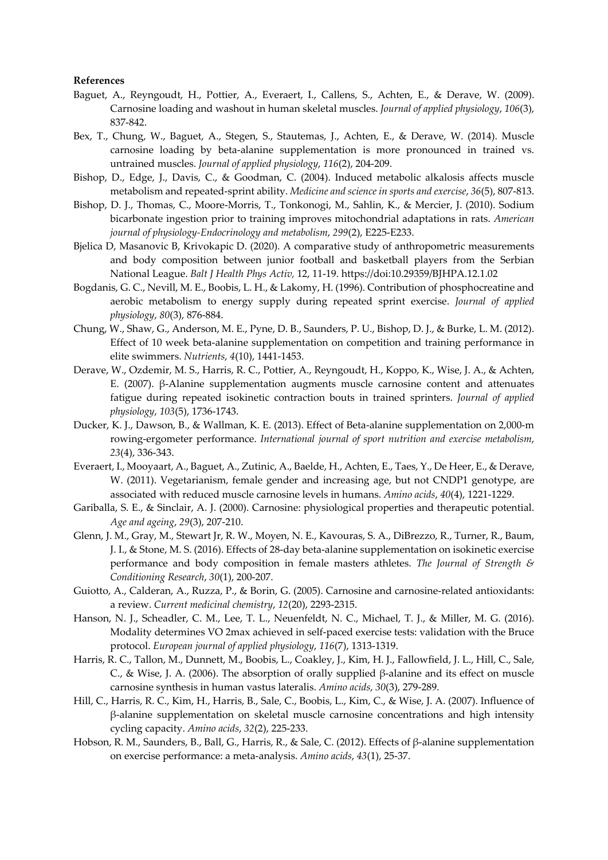# **References**

- Baguet, A., Reyngoudt, H., Pottier, A., Everaert, I., Callens, S., Achten, E., & Derave, W. (2009). Carnosine loading and washout in human skeletal muscles. *Journal of applied physiology*, *106*(3), 837-842.
- Bex, T., Chung, W., Baguet, A., Stegen, S., Stautemas, J., Achten, E., & Derave, W. (2014). Muscle carnosine loading by beta-alanine supplementation is more pronounced in trained vs. untrained muscles. *Journal of applied physiology*, *116*(2), 204-209.
- Bishop, D., Edge, J., Davis, C., & Goodman, C. (2004). Induced metabolic alkalosis affects muscle metabolism and repeated-sprint ability. *Medicine and science in sports and exercise*, *36*(5), 807-813.
- Bishop, D. J., Thomas, C., Moore-Morris, T., Tonkonogi, M., Sahlin, K., & Mercier, J. (2010). Sodium bicarbonate ingestion prior to training improves mitochondrial adaptations in rats. *American journal of physiology-Endocrinology and metabolism*, *299*(2), E225-E233.
- Bjelica D, Masanovic B, Krivokapic D. (2020). A comparative study of anthropometric measurements and body composition between junior football and basketball players from the Serbian National League. *Balt J Health Phys Activ,* 12, 11-19. https://doi:10.29359/BJHPA.12.1.02
- Bogdanis, G. C., Nevill, M. E., Boobis, L. H., & Lakomy, H. (1996). Contribution of phosphocreatine and aerobic metabolism to energy supply during repeated sprint exercise. *Journal of applied physiology*, *80*(3), 876-884.
- Chung, W., Shaw, G., Anderson, M. E., Pyne, D. B., Saunders, P. U., Bishop, D. J., & Burke, L. M. (2012). Effect of 10 week beta-alanine supplementation on competition and training performance in elite swimmers. *Nutrients*, *4*(10), 1441-1453.
- Derave, W., Ozdemir, M. S., Harris, R. C., Pottier, A., Reyngoudt, H., Koppo, K., Wise, J. A., & Achten, E. (2007). β-Alanine supplementation augments muscle carnosine content and attenuates fatigue during repeated isokinetic contraction bouts in trained sprinters. *Journal of applied physiology*, *103*(5), 1736-1743.
- Ducker, K. J., Dawson, B., & Wallman, K. E. (2013). Effect of Beta-alanine supplementation on 2,000-m rowing-ergometer performance. *International journal of sport nutrition and exercise metabolism*, *23*(4), 336-343.
- Everaert, I., Mooyaart, A., Baguet, A., Zutinic, A., Baelde, H., Achten, E., Taes, Y., De Heer, E., & Derave, W. (2011). Vegetarianism, female gender and increasing age, but not CNDP1 genotype, are associated with reduced muscle carnosine levels in humans. *Amino acids*, *40*(4), 1221-1229.
- Gariballa, S. E., & Sinclair, A. J. (2000). Carnosine: physiological properties and therapeutic potential. *Age and ageing*, *29*(3), 207-210.
- Glenn, J. M., Gray, M., Stewart Jr, R. W., Moyen, N. E., Kavouras, S. A., DiBrezzo, R., Turner, R., Baum, J. I., & Stone, M. S. (2016). Effects of 28-day beta-alanine supplementation on isokinetic exercise performance and body composition in female masters athletes. *The Journal of Strength & Conditioning Research*, *30*(1), 200-207.
- Guiotto, A., Calderan, A., Ruzza, P., & Borin, G. (2005). Carnosine and carnosine-related antioxidants: a review. *Current medicinal chemistry*, *12*(20), 2293-2315.
- Hanson, N. J., Scheadler, C. M., Lee, T. L., Neuenfeldt, N. C., Michael, T. J., & Miller, M. G. (2016). Modality determines VO 2max achieved in self-paced exercise tests: validation with the Bruce protocol. *European journal of applied physiology*, *116*(7), 1313-1319.
- Harris, R. C., Tallon, M., Dunnett, M., Boobis, L., Coakley, J., Kim, H. J., Fallowfield, J. L., Hill, C., Sale, C., & Wise, J. A. (2006). The absorption of orally supplied β-alanine and its effect on muscle carnosine synthesis in human vastus lateralis. *Amino acids*, *30*(3), 279-289.
- Hill, C., Harris, R. C., Kim, H., Harris, B., Sale, C., Boobis, L., Kim, C., & Wise, J. A. (2007). Influence of β-alanine supplementation on skeletal muscle carnosine concentrations and high intensity cycling capacity. *Amino acids*, *32*(2), 225-233.
- Hobson, R. M., Saunders, B., Ball, G., Harris, R., & Sale, C. (2012). Effects of β-alanine supplementation on exercise performance: a meta-analysis. *Amino acids*, *43*(1), 25-37.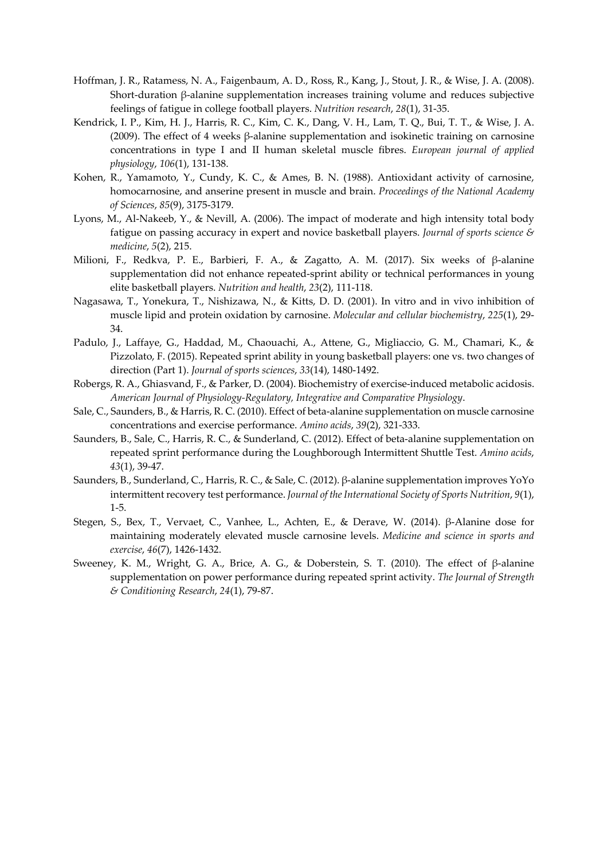- Hoffman, J. R., Ratamess, N. A., Faigenbaum, A. D., Ross, R., Kang, J., Stout, J. R., & Wise, J. A. (2008). Short-duration β-alanine supplementation increases training volume and reduces subjective feelings of fatigue in college football players. *Nutrition research*, *28*(1), 31-35.
- Kendrick, I. P., Kim, H. J., Harris, R. C., Kim, C. K., Dang, V. H., Lam, T. Q., Bui, T. T., & Wise, J. A. (2009). The effect of 4 weeks β-alanine supplementation and isokinetic training on carnosine concentrations in type I and II human skeletal muscle fibres. *European journal of applied physiology*, *106*(1), 131-138.
- Kohen, R., Yamamoto, Y., Cundy, K. C., & Ames, B. N. (1988). Antioxidant activity of carnosine, homocarnosine, and anserine present in muscle and brain. *Proceedings of the National Academy of Sciences*, *85*(9), 3175-3179.
- Lyons, M., Al-Nakeeb, Y., & Nevill, A. (2006). The impact of moderate and high intensity total body fatigue on passing accuracy in expert and novice basketball players. *Journal of sports science & medicine*, *5*(2), 215.
- Milioni, F., Redkva, P. E., Barbieri, F. A., & Zagatto, A. M. (2017). Six weeks of β-alanine supplementation did not enhance repeated-sprint ability or technical performances in young elite basketball players. *Nutrition and health*, *23*(2), 111-118.
- Nagasawa, T., Yonekura, T., Nishizawa, N., & Kitts, D. D. (2001). In vitro and in vivo inhibition of muscle lipid and protein oxidation by carnosine. *Molecular and cellular biochemistry*, *225*(1), 29- 34.
- Padulo, J., Laffaye, G., Haddad, M., Chaouachi, A., Attene, G., Migliaccio, G. M., Chamari, K., & Pizzolato, F. (2015). Repeated sprint ability in young basketball players: one vs. two changes of direction (Part 1). *Journal of sports sciences*, *33*(14), 1480-1492.
- Robergs, R. A., Ghiasvand, F., & Parker, D. (2004). Biochemistry of exercise-induced metabolic acidosis. *American Journal of Physiology-Regulatory, Integrative and Comparative Physiology*.
- Sale, C., Saunders, B., & Harris, R. C. (2010). Effect of beta-alanine supplementation on muscle carnosine concentrations and exercise performance. *Amino acids*, *39*(2), 321-333.
- Saunders, B., Sale, C., Harris, R. C., & Sunderland, C. (2012). Effect of beta-alanine supplementation on repeated sprint performance during the Loughborough Intermittent Shuttle Test. *Amino acids*, *43*(1), 39-47.
- Saunders, B., Sunderland, C., Harris, R. C., & Sale, C. (2012). β-alanine supplementation improves YoYo intermittent recovery test performance. *Journal of the International Society of Sports Nutrition*, *9*(1), 1-5.
- Stegen, S., Bex, T., Vervaet, C., Vanhee, L., Achten, E., & Derave, W. (2014). β-Alanine dose for maintaining moderately elevated muscle carnosine levels. *Medicine and science in sports and exercise*, *46*(7), 1426-1432.
- Sweeney, K. M., Wright, G. A., Brice, A. G., & Doberstein, S. T. (2010). The effect of β-alanine supplementation on power performance during repeated sprint activity. *The Journal of Strength & Conditioning Research*, *24*(1), 79-87.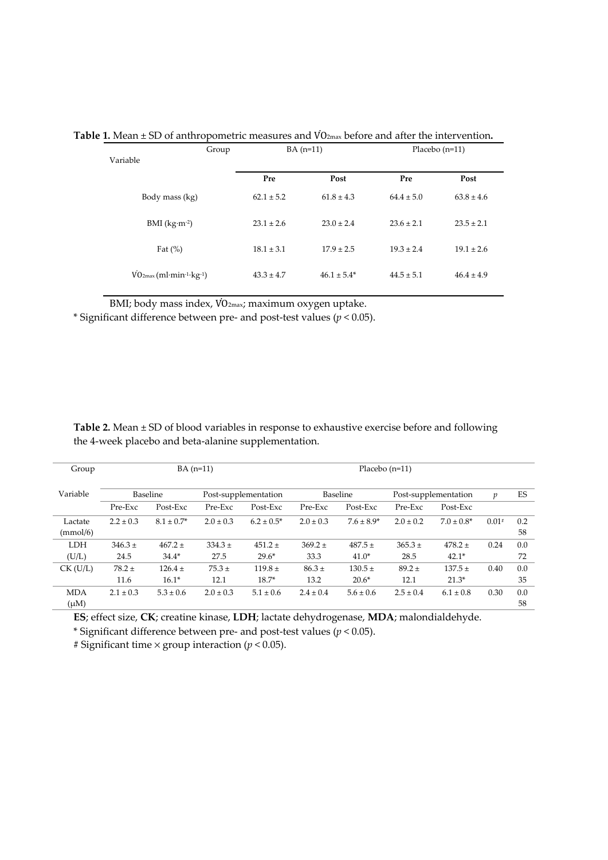| Group<br>Variable                                         |                | $BA(n=11)$      |                | Placebo $(n=11)$ |  |  |
|-----------------------------------------------------------|----------------|-----------------|----------------|------------------|--|--|
|                                                           | Pre            | Post            | Pre            | Post             |  |  |
| Body mass (kg)                                            | $62.1 \pm 5.2$ | $61.8 \pm 4.3$  | $64.4 \pm 5.0$ | $63.8 \pm 4.6$   |  |  |
| BMI $(kg·m-2)$                                            | $23.1 \pm 2.6$ | $23.0 \pm 2.4$  | $23.6 \pm 2.1$ | $23.5 \pm 2.1$   |  |  |
| Fat $(\%)$                                                | $18.1 \pm 3.1$ | $17.9 \pm 2.5$  | $19.3 \pm 2.4$ | $19.1 \pm 2.6$   |  |  |
| $\text{VO2max}$ (ml·min <sup>-1</sup> ·kg <sup>-1</sup> ) | $43.3 \pm 4.7$ | $46.1 \pm 5.4*$ | $44.5 \pm 5.1$ | $46.4 \pm 4.9$   |  |  |

Table 1. Mean ± SD of anthropometric measures and VO<sub>2max</sub> before and after the intervention.

BMI; body mass index, VO<sub>2max</sub>; maximum oxygen uptake.

\* Significant difference between pre- and post-test values (*p* < 0.05).

| Group      | $BA(n=11)$                       |                 |               | Placebo $(n=11)$ |               |                      |               |                 |         |     |
|------------|----------------------------------|-----------------|---------------|------------------|---------------|----------------------|---------------|-----------------|---------|-----|
|            |                                  |                 |               |                  |               |                      |               |                 |         |     |
| Variable   |                                  |                 |               |                  |               | Baseline             |               |                 | v       | ES  |
|            | Baseline<br>Post-supplementation |                 |               |                  |               | Post-supplementation |               |                 |         |     |
|            | Pre-Exc                          | Post-Exc        | Pre-Exc       | Post-Exc         | Pre-Exc       | Post-Exc             | Pre-Exc       | Post-Exc        |         |     |
| Lactate    | $2.2 \pm 0.3$                    | $8.1 \pm 0.7^*$ | $2.0 \pm 0.3$ | $6.2 \pm 0.5^*$  | $2.0 \pm 0.3$ | $7.6 \pm 8.9^*$      | $2.0 \pm 0.2$ | $7.0 \pm 0.8^*$ | $0.01*$ | 0.2 |
| (mmol/6)   |                                  |                 |               |                  |               |                      |               |                 |         | 58  |
| <b>LDH</b> | $346.3 \pm$                      | $467.2 +$       | $334.3 \pm$   | $451.2 \pm$      | $369.2 +$     | $487.5 +$            | $365.3 \pm$   | $478.2 +$       | 0.24    | 0.0 |
| (U/L)      | 24.5                             | $34.4*$         | 27.5          | $29.6*$          | 33.3          | $41.0*$              | 28.5          | $42.1*$         |         | 72  |
| $CK$ (U/L) | $78.2 \pm$                       | $126.4 +$       | $75.3 \pm$    | $119.8 \pm$      | $86.3 \pm$    | $130.5 \pm$          | $89.2 \pm$    | $137.5 +$       | 0.40    | 0.0 |
|            | 11.6                             | $16.1*$         | 12.1          | $18.7*$          | 13.2          | $20.6*$              | 12.1          | $21.3*$         |         | 35  |
| <b>MDA</b> | $2.1 \pm 0.3$                    | $5.3 \pm 0.6$   | $2.0 \pm 0.3$ | $5.1 \pm 0.6$    | $2.4 \pm 0.4$ | $5.6 \pm 0.6$        | $2.5 \pm 0.4$ | $6.1 \pm 0.8$   | 0.30    | 0.0 |
| $(\mu M)$  |                                  |                 |               |                  |               |                      |               |                 |         | 58  |

**Table 2.** Mean ± SD of blood variables in response to exhaustive exercise before and following the 4-week placebo and beta-alanine supplementation.

**ES**; effect size, **CK**; creatine kinase, **LDH**; lactate dehydrogenase, **MDA**; malondialdehyde.

\* Significant difference between pre- and post-test values (*p* < 0.05).

# Significant time × group interaction (*p* < 0.05).